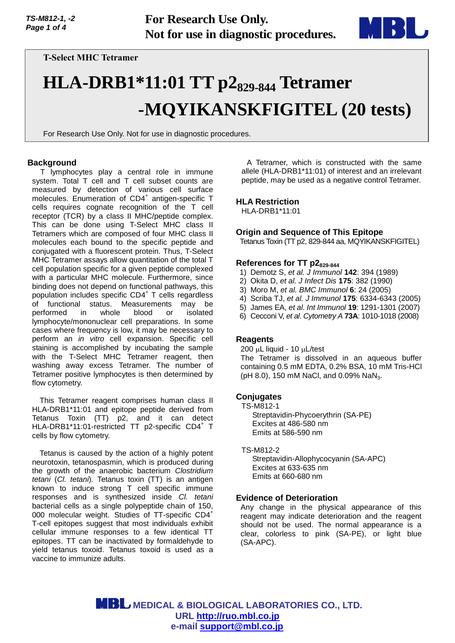

**T-Select MHC Tetramer**

# **HLA-DRB1\*11:01 TT p2829-844 Tetramer -MQYIKANSKFIGITEL (20 tests)**

For Research Use Only. Not for use in diagnostic procedures.

## **Background**

T lymphocytes play a central role in immune system. Total T cell and T cell subset counts are measured by detection of various cell surface molecules. Enumeration of CD4<sup>+</sup> antigen-specific T cells requires cognate recognition of the T cell receptor (TCR) by a class II MHC/peptide complex. This can be done using T-Select MHC class II Tetramers which are composed of four MHC class II molecules each bound to the specific peptide and conjugated with a fluorescent protein. Thus, T-Select MHC Tetramer assays allow quantitation of the total T cell population specific for a given peptide complexed with a particular MHC molecule. Furthermore, since binding does not depend on functional pathways, this population includes specific CD4<sup>+</sup> T cells regardless of functional status. Measurements may be performed in whole blood or isolated lymphocyte/mononuclear cell preparations. In some cases where frequency is low, it may be necessary to perform an *in vitro* cell expansion. Specific cell staining is accomplished by incubating the sample with the T-Select MHC Tetramer reagent, then washing away excess Tetramer. The number of Tetramer positive lymphocytes is then determined by flow cytometry.

This Tetramer reagent comprises human class II HLA-DRB1\*11:01 and epitope peptide derived from Tetanus Toxin (TT) p2, and it can detect HLA-DRB1\*11:01-restricted TT p2-specific CD4+ T cells by flow cytometry.

Tetanus is caused by the action of a highly potent neurotoxin, tetanospasmin, which is produced during the growth of the anaerobic bacterium *Clostridium tetani* (*Cl. tetani*)*.* Tetanus toxin (TT) is an antigen known to induce strong T cell specific immune responses and is synthesized inside *Cl. tetani* bacterial cells as a single polypeptide chain of 150, 000 molecular weight. Studies of TT-specific CD4<sup>+</sup> T-cell epitopes suggest that most individuals exhibit cellular immune responses to a few identical TT epitopes. TT can be inactivated by formaldehyde to yield tetanus toxoid. Tetanus toxoid is used as a vaccine to immunize adults.

A Tetramer, which is constructed with the same allele (HLA-DRB1\*11:01) of interest and an irrelevant peptide, may be used as a negative control Tetramer.

## **HLA Restriction**

HLA-DRB1\*11:01

## **Origin and Sequence of This Epitope**

Tetanus Toxin (TT p2, 829-844 aa, MQYIKANSKFIGITEL)

## **References for TT p2829-844**

- 1) Demotz S, *et al. J Immunol* **142**: 394 (1989)
- 2) Okita D, *et al. J Infect Dis* **175**: 382 (1990)
- 3) Moro M, *et al. BMC Immunol* **6**: 24 (2005)
- 4) Scriba TJ, *et al. J Immunol* **175**: 6334-6343 (2005)
- 5) James EA, *et al*. *Int Immunol* **19**: 1291-1301 (2007)
- 6) Cecconi V, *et al*. *Cytometry A* **73A**: 1010-1018 (2008)

## **Reagents**

 $200 \mu L$  liquid - 10  $\mu L$ /test

The Tetramer is dissolved in an aqueous buffer containing 0.5 mM EDTA, 0.2% BSA, 10 mM Tris-HCl (pH 8.0), 150 mM NaCl, and 0.09% NaN<sub>3</sub>.

## **Conjugates**

TS-M812-1

Streptavidin-Phycoerythrin (SA-PE) Excites at 486-580 nm Emits at 586-590 nm

#### TS-M812-2

Streptavidin-Allophycocyanin (SA-APC) Excites at 633-635 nm Emits at 660-680 nm

## **Evidence of Deterioration**

Any change in the physical appearance of this reagent may indicate deterioration and the reagent should not be used. The normal appearance is a clear, colorless to pink (SA-PE), or light blue (SA-APC).

 **MEDICAL & BIOLOGICAL LABORATORIES CO., LTD. URL [http://ruo.mbl.co.jp](https://ruo.mbl.co.jp/) e-mail [support@mbl.co.jp](mailto:support@mbl.co.jp)**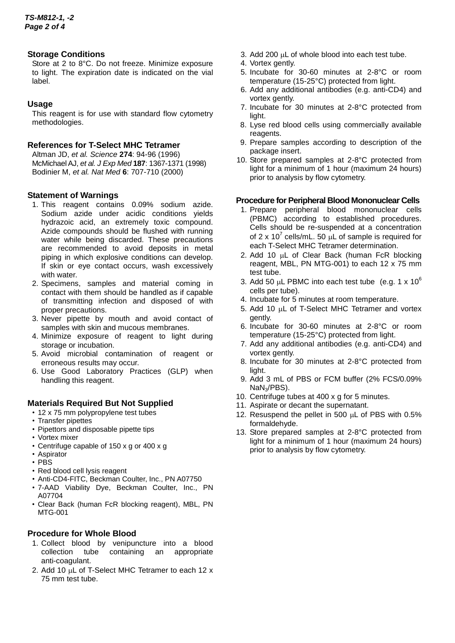## **Storage Conditions**

Store at 2 to 8°C. Do not freeze. Minimize exposure to light. The expiration date is indicated on the vial label.

## **Usage**

This reagent is for use with standard flow cytometry methodologies.

## **References for T-Select MHC Tetramer**

Altman JD, *et al. Science* **274**: 94-96 (1996) McMichael AJ, *et al. J Exp Med* **187**: 1367-1371 (1998) Bodinier M, *et al. Nat Med* **6**: 707-710 (2000)

## **Statement of Warnings**

- 1. This reagent contains 0.09% sodium azide. Sodium azide under acidic conditions yields hydrazoic acid, an extremely toxic compound. Azide compounds should be flushed with running water while being discarded. These precautions are recommended to avoid deposits in metal piping in which explosive conditions can develop. If skin or eye contact occurs, wash excessively with water.
- 2. Specimens, samples and material coming in contact with them should be handled as if capable of transmitting infection and disposed of with proper precautions.
- 3. Never pipette by mouth and avoid contact of samples with skin and mucous membranes.
- 4. Minimize exposure of reagent to light during storage or incubation.
- 5. Avoid microbial contamination of reagent or erroneous results may occur.
- 6. Use Good Laboratory Practices (GLP) when handling this reagent.

## **Materials Required But Not Supplied**

- 12 x 75 mm polypropylene test tubes
- Transfer pipettes
- Pipettors and disposable pipette tips
- Vortex mixer
- Centrifuge capable of 150 x g or 400 x g
- Aspirator
- PBS
- Red blood cell lysis reagent
- Anti-CD4-FITC, Beckman Coulter, Inc., PN A07750
- 7-AAD Viability Dye, Beckman Coulter, Inc., PN A07704
- Clear Back (human FcR blocking reagent), MBL, PN MTG-001

# **Procedure for Whole Blood**

- 1. Collect blood by venipuncture into a blood collection tube containing an appropriate anti-coagulant.
- 2. Add 10 µL of T-Select MHC Tetramer to each 12 x 75 mm test tube.
- 3. Add 200  $\mu$ L of whole blood into each test tube.
- 4. Vortex gently.
- 5. Incubate for 30-60 minutes at 2-8°C or room temperature (15-25°C) protected from light.
- 6. Add any additional antibodies (e.g. anti-CD4) and vortex gently.
- 7. Incubate for 30 minutes at 2-8°C protected from light.
- 8. Lyse red blood cells using commercially available reagents.
- 9. Prepare samples according to description of the package insert.
- 10. Store prepared samples at 2-8°C protected from light for a minimum of 1 hour (maximum 24 hours) prior to analysis by flow cytometry.

## **Procedure for Peripheral Blood Mononuclear Cells**

- 1. Prepare peripheral blood mononuclear cells (PBMC) according to established procedures. Cells should be re-suspended at a concentration of 2 x 10<sup>7</sup> cells/mL. 50  $\mu$ L of sample is required for each T-Select MHC Tetramer determination.
- 2. Add 10 µL of Clear Back (human FcR blocking reagent, MBL, PN MTG-001) to each 12 x 75 mm test tube.
- 3. Add 50  $\mu$ L PBMC into each test tube (e.g. 1 x 10<sup>6</sup>) cells per tube).
- 4. Incubate for 5 minutes at room temperature.
- 5. Add 10  $\mu$ L of T-Select MHC Tetramer and vortex gently.
- 6. Incubate for 30-60 minutes at 2-8°C or room temperature (15-25°C) protected from light.
- 7. Add any additional antibodies (e.g. anti-CD4) and vortex gently.
- 8. Incubate for 30 minutes at 2-8°C protected from light.
- 9. Add 3 mL of PBS or FCM buffer (2% FCS/0.09% NaN3/PBS).
- 10. Centrifuge tubes at 400 x g for 5 minutes.
- 11. Aspirate or decant the supernatant.
- 12. Resuspend the pellet in 500  $\mu$ L of PBS with 0.5% formaldehyde.
- 13. Store prepared samples at 2-8°C protected from light for a minimum of 1 hour (maximum 24 hours) prior to analysis by flow cytometry.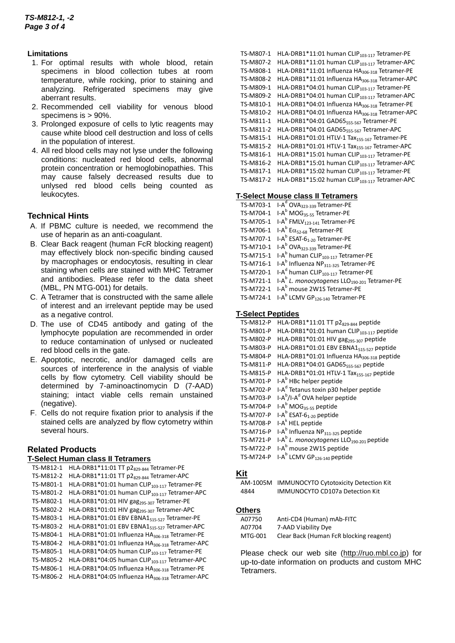## **Limitations**

- 1. For optimal results with whole blood, retain specimens in blood collection tubes at room temperature, while rocking, prior to staining and analyzing. Refrigerated specimens may give aberrant results.
- 2. Recommended cell viability for venous blood specimens is > 90%.
- 3. Prolonged exposure of cells to lytic reagents may cause white blood cell destruction and loss of cells in the population of interest.
- 4. All red blood cells may not lyse under the following conditions: nucleated red blood cells, abnormal protein concentration or hemoglobinopathies. This may cause falsely decreased results due to unlysed red blood cells being counted as leukocytes.

# **Technical Hints**

- A.If PBMC culture is needed, we recommend the use of heparin as an anti-coagulant.
- B.Clear Back reagent (human FcR blocking reagent) may effectively block non-specific binding caused by macrophages or endocytosis, resulting in clear staining when cells are stained with MHC Tetramer and antibodies. Please refer to the data sheet (MBL, PN MTG-001) for details.
- C.A Tetramer that is constructed with the same allele of interest and an irrelevant peptide may be used as a negative control.
- D.The use of CD45 antibody and gating of the lymphocyte population are recommended in order to reduce contamination of unlysed or nucleated red blood cells in the gate.
- E.Apoptotic, necrotic, and/or damaged cells are sources of interference in the analysis of viable cells by flow cytometry. Cell viability should be determined by 7-aminoactinomycin D (7-AAD) staining; intact viable cells remain unstained (negative).
- F. Cells do not require fixation prior to analysis if the stained cells are analyzed by flow cytometry within several hours.

# **Related Products**

#### **T-Select Human class II Tetramers**

| TS-M812-1 | HLA-DRB1*11:01 TT p2 <sub>829-844</sub> Tetramer-PE         |
|-----------|-------------------------------------------------------------|
| TS-M812-2 | HLA-DRB1*11:01 TT p2 <sub>829-844</sub> Tetramer-APC        |
| TS-M801-1 | HLA-DRB1*01:01 human CLIP <sub>103-117</sub> Tetramer-PE    |
| TS-M801-2 | HLA-DRB1*01:01 human CLIP <sub>103-117</sub> Tetramer-APC   |
| TS-M802-1 | HLA-DRB1*01:01 HIV gag <sub>295-307</sub> Tetramer-PE       |
| TS-M802-2 | HLA-DRB1*01:01 HIV gag <sub>295-307</sub> Tetramer-APC      |
| TS-M803-1 | HLA-DRB1*01:01 EBV EBNA1 <sub>515-527</sub> Tetramer-PE     |
| TS-M803-2 | HLA-DRB1*01:01 EBV EBNA1 <sub>515-527</sub> Tetramer-APC    |
| TS-M804-1 | HLA-DRB1*01:01 Influenza HA <sub>306-318</sub> Tetramer-PE  |
| TS-M804-2 | HLA-DRB1*01:01 Influenza HA <sub>306-318</sub> Tetramer-APC |
| TS-M805-1 | HLA-DRB1*04:05 human CLIP <sub>103-117</sub> Tetramer-PE    |
| TS-M805-2 | HLA-DRB1*04:05 human CLIP <sub>103-117</sub> Tetramer-APC   |
| TS-M806-1 | HLA-DRB1*04:05 Influenza HA <sub>306-318</sub> Tetramer-PE  |
| TS-M806-2 | HLA-DRB1*04:05 Influenza HA <sub>306-318</sub> Tetramer-APC |

```
TS-M807-1 HLA-DRB1*11:01 human CLIP<sub>103-117</sub> Tetramer-PE
TS-M807-2 HLA-DRB1*11:01 human CLIP<sub>103-117</sub> Tetramer-APC
TS-M808-1 HLA-DRB1*11:01 Influenza HA306-318 Tetramer-PE
TS-M808-2 HLA-DRB1*11:01 Influenza HA<sub>306-318</sub> Tetramer-APC
TS-M809-1 HLA-DRB1*04:01 human CLIP<sub>103-117</sub> Tetramer-PE
TS-M809-2 HLA-DRB1*04:01 human CLIP<sub>103-117</sub> Tetramer-APC
TS-M810-1 HLA-DRB1*04:01 Influenza HA<sub>306-318</sub> Tetramer-PE
TS-M810-2 HLA-DRB1*04:01 Influenza HA<sub>306-318</sub> Tetramer-APC
TS-M811-1 HLA-DRB1*04:01 GAD65<sub>555-567</sub> Tetramer-PE
TS-M811-2 HLA-DRB1*04:01 GAD65<sub>555-567</sub> Tetramer-APC
TS-M815-1 HLA-DRB1*01:01 HTLV-1 Tax<sub>155-167</sub> Tetramer-PE
TS-M815-2 HLA-DRB1*01:01 HTLV-1 Tax<sub>155-167</sub> Tetramer-APC
TS-M816-1 HLA-DRB1*15:01 human CLIP<sub>103-117</sub> Tetramer-PE
TS-M816-2 HLA-DRB1*15:01 human CLIP<sub>103-117</sub> Tetramer-APC
TS-M817-1 HLA-DRB1*15:02 human CLIP<sub>103-117</sub> Tetramer-PE
TS-M817-2 HLA-DRB1*15:02 human CLIP<sub>103-117</sub> Tetramer-APC
```
#### **T-Select Mouse class II Tetramers**

| TS-M703-1 I-A <sup>d</sup> OVA <sub>323-339</sub> Tetramer-PE         |
|-----------------------------------------------------------------------|
| TS-M704-1 $I-A^b$ MOG <sub>35-55</sub> Tetramer-PE                    |
| TS-M705-1 $I-A^b$ FMLV <sub>123-141</sub> Tetramer-PE                 |
| TS-M706-1 I-A <sup>b</sup> E $\alpha$ <sub>52-68</sub> Tetramer-PE    |
| TS-M707-1 I-A <sup>b</sup> ESAT-6 <sub>1-20</sub> Tetramer-PE         |
| TS-M710-1 I-A <sup>b</sup> OVA <sub>323-339</sub> Tetramer-PE         |
| TS-M715-1 I-A <sup>b</sup> human CLIP <sub>103-117</sub> Tetramer-PE  |
| TS-M716-1 I-A <sup>b</sup> Influenza $NP_{311-325}$ Tetramer-PE       |
| TS-M720-1 I-A <sup>d</sup> human CLIP <sub>103-117</sub> Tetramer-PE  |
| TS-M721-1 $I-A^b$ L. monocytogenes LLO <sub>190-201</sub> Tetramer-PE |
| TS-M722-1 I-A <sup>b</sup> mouse 2W1S Tetramer-PE                     |
| TS-M724-1 I-A <sup>b</sup> LCMV GP <sub>126-140</sub> Tetramer-PE     |

#### **T-Select Peptides**

| TS-M812-P        | HLA-DRB1*11:01 TT p2 <sub>829-844</sub> peptide                  |
|------------------|------------------------------------------------------------------|
| TS-M801-P        | HLA-DRB1*01:01 human CLIP <sub>103-117</sub> peptide             |
| <b>TS-M802-P</b> | HLA-DRB1*01:01 HIV gag <sub>295-307</sub> peptide                |
| TS-M803-P        | HLA-DRB1*01:01 EBV EBNA1 <sub>515-527</sub> peptide              |
| TS-M804-P        | HLA-DRB1*01:01 Influenza HA <sub>306-318</sub> peptide           |
| TS-M811-P        | HLA-DRB1*04:01 GAD65 <sub>555-567</sub> peptide                  |
| TS-M815-P        | HLA-DRB1*01:01 HTLV-1 Tax <sub>155-167</sub> peptide             |
| TS-M701-P        | I-A <sup>b</sup> HBc helper peptide                              |
| <b>TS-M702-P</b> | I-A <sup>d</sup> Tetanus toxin p30 helper peptide                |
| TS-M703-P        | I-A <sup>b</sup> /I-A <sup>d</sup> OVA helper peptide            |
| TS-M704-P        | I-A <sup>b</sup> MOG <sub>35-55</sub> peptide                    |
| <b>TS-M707-P</b> | $I-A^b$ ESAT-6 <sub>1-20</sub> peptide                           |
| TS-M708-P        | I-A <sup>k</sup> HEL peptide                                     |
| TS-M716-P        | I-A <sup>b</sup> Influenza NP <sub>311-325</sub> peptide         |
| <b>TS-M721-P</b> | I-A <sup>b</sup> L. monocytogenes LLO <sub>190-201</sub> peptide |
| <b>TS-M722-P</b> | I-A <sup>b</sup> mouse 2W1S peptide                              |
| <b>TS-M724-P</b> | I-A <sup>b</sup> LCMV GP <sub>126-140</sub> peptide              |
|                  |                                                                  |

## **Kit**

AM-1005M IMMUNOCYTO Cytotoxicity Detection Kit 4844 IMMUNOCYTO CD107a Detection Kit

## **Others**

| A07750  | Anti-CD4 (Human) mAb-FITC               |
|---------|-----------------------------------------|
| A07704  | 7-AAD Viability Dye                     |
| MTG-001 | Clear Back (Human FcR blocking reagent) |

Please check our web site [\(http://ruo.mbl.co.jp\)](https://ruo.mbl.co.jp/) for up-to-date information on products and custom MHC Tetramers.